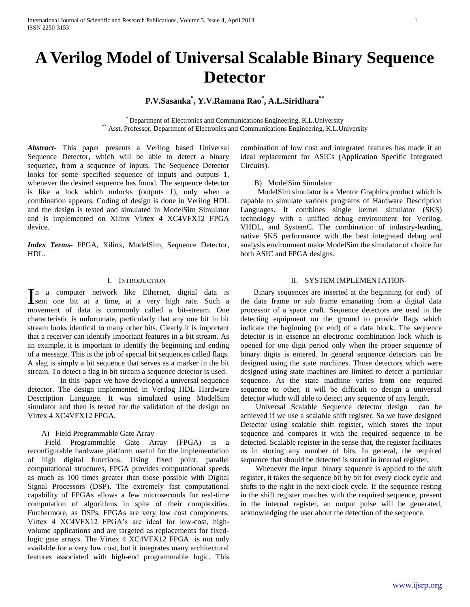# **P.V.Sasanka\* , Y.V.Ramana Rao\* , A.L.Siridhara\*\***

\* Department of Electronics and Communications Engineering, K.L.University \*\* Asst. Professor, Department of Electronics and Communications Engineering, K.L.University

*Abstract***-** This paper presents a Verilog based Universal Sequence Detector, which will be able to detect a binary sequence, from a sequence of inputs. The Sequence Detector looks for some specified sequence of inputs and outputs 1, whenever the desired sequence has found. The sequence detector is like a lock which unlocks (outputs 1), only when a combination appears. Coding of design is done in Verilog HDL and the design is tested and simulated in ModelSim Simulator and is implemented on Xilinx Virtex 4 XC4VFX12 FPGA device.

*Index Terms*- FPGA, Xilinx, ModelSim, Sequence Detector, HDL.

### I. INTRODUCTION

n a computer network like Ethernet, digital data is In a computer network like Ethernet, digital data is<br>
sent one bit at a time, at a very high rate. Such a movement of data is commonly called a bit-stream. One characteristic is unfortunate, particularly that any one bit in bit stream looks identical to many other bits. Clearly it is important that a receiver can identify important features in a bit stream. As an example, it is important to identify the beginning and ending of a message. This is the job of special bit sequences called flags. A slag is simply a bit sequence that serves as a marker in the bit stream. To detect a flag in bit stream a sequence detector is used.

In this paper we have developed a universal sequence detector. The design implemented in Verilog HDL Hardware Description Language. It was simulated using ModelSim simulator and then is tested for the validation of the design on Virtex 4 XC4VFX12 FPGA.

### A) Field Programmable Gate Array

 Field Programmable Gate Array (FPGA) is a reconfigurable hardware platform useful for the implementation of high digital functions. Using fixed point, parallel computational structures, FPGA provides computational speeds as much as 100 times greater than those possible with Digital Signal Processors (DSP). The extremely fast computational capability of FPGAs allows a few microseconds for real-time computation of algorithms in spite of their complexities. Furthermore, as DSPs, FPGAs are very low cost components. Virtex 4 XC4VFX12 FPGA's are ideal for low-cost, highvolume applications and are targeted as replacements for fixedlogic gate arrays. The Virtex 4 XC4VFX12 FPGA is not only available for a very low cost, but it integrates many architectural features associated with high-end programmable logic. This combination of low cost and integrated features has made it an ideal replacement for ASICs (Application Specific Integrated Circuits).

B) ModelSim Simulator

 ModelSim simulator is a Mentor Graphics product which is capable to simulate various programs of Hardware Description Languages. It combines single kernel simulator (SKS) technology with a unified debug environment for Verilog, VHDL, and SystemC. The combination of industry-leading, native SKS performance with the best integrated debug and analysis environment make ModelSim the simulator of choice for both ASIC and FPGA designs.

### II. SYSTEM IMPLEMENTATION

 Binary sequences are inserted at the beginning (or end) of the data frame or sub frame emanating from a digital data processor of a space craft. Sequence detectors are used in the detecting equipment on the ground to provide flags which indicate the beginning (or end) of a data block. The sequence detector is in essence an electronic combination lock which is opened for one digit period only when the proper sequence of binary digits is entered. In general sequence detectors can be designed using the state machines. Those detectors which were designed using state machines are limited to detect a particular sequence. As the state machine varies from one required sequence to other, it will be difficult to design a universal detector which will able to detect any sequence of any length.

 Universal Scalable Sequence detector design can be achieved if we use a scalable shift register. So we have designed Detector using scalable shift register, which stores the input sequence and compares it with the required sequence to be detected. Scalable register in the sense that, the register facilitates us in storing any number of bits. In general, the required sequence that should be detected is stored in internal register.

 Whenever the input binary sequence is applied to the shift register, it takes the sequence bit by bit for every clock cycle and shifts to the right in the next clock cycle. If the sequence resting in the shift register matches with the required sequence, present in the internal register, an output pulse will be generated, acknowledging the user about the detection of the sequence.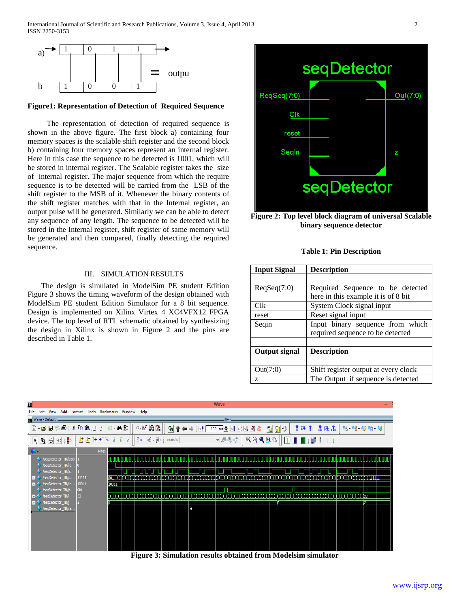

### **Figure1: Representation of Detection of Required Sequence**

 The representation of detection of required sequence is shown in the above figure. The first block a) containing four memory spaces is the scalable shift register and the second block b) containing four memory spaces represent an internal register. Here in this case the sequence to be detected is 1001, which will be stored in internal register. The Scalable register takes the size of internal register. The major sequence from which the require sequence is to be detected will be carried from the LSB of the shift register to the MSB of it. Whenever the binary contents of the shift register matches with that in the Internal register, an output pulse will be generated. Similarly we can be able to detect any sequence of any length. The sequence to be detected will be stored in the Internal register, shift register of same memory will be generated and then compared, finally detecting the required sequence.

## III. SIMULATION RESULTS

 The design is simulated in ModelSim PE student Edition Figure 3 shows the timing waveform of the design obtained with ModelSim PE student Edition Simulator for a 8 bit sequence. Design is implemented on Xilinx Virtex 4 XC4VFX12 FPGA device. The top level of RTL schematic obtained by synthesizing the design in Xilinx is shown in Figure 2 and the pins are described in Table 1.



**Figure 2: Top level block diagram of universal Scalable binary sequence detector**

|  |  | <b>Table 1: Pin Description</b> |  |
|--|--|---------------------------------|--|
|--|--|---------------------------------|--|

| <b>Input Signal</b>  | <b>Description</b>                   |  |  |  |
|----------------------|--------------------------------------|--|--|--|
|                      |                                      |  |  |  |
| $\text{ReqSeq}(7:0)$ | Required Sequence to be detected     |  |  |  |
|                      | here in this example it is of 8 bit  |  |  |  |
| C <sub>lk</sub>      | System Clock signal input            |  |  |  |
| reset                | Reset signal input                   |  |  |  |
| Seqin                | Input binary sequence from which     |  |  |  |
|                      | required sequence to be detected     |  |  |  |
|                      |                                      |  |  |  |
| Output signal        | <b>Description</b>                   |  |  |  |
|                      |                                      |  |  |  |
| Out(7:0)             | Shift register output at every clock |  |  |  |
| Z                    | The Output if sequence is detected   |  |  |  |



**Figure 3: Simulation results obtained from Modelsim simulator**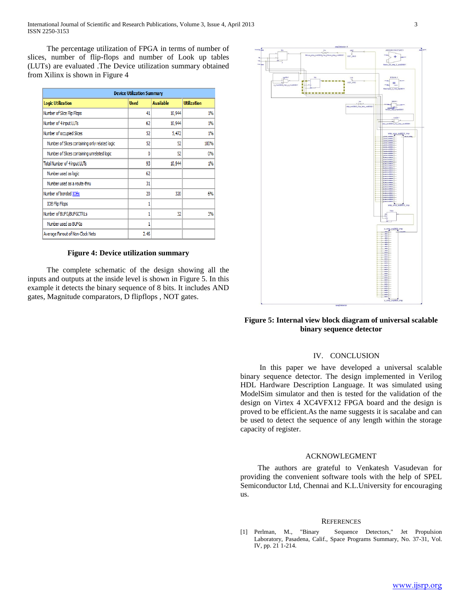The percentage utilization of FPGA in terms of number of slices, number of flip-flops and number of Look up tables (LUTs) are evaluated .The Device utilization summary obtained from Xilinx is shown in Figure 4

| <b>Device Utilization Summary</b>              |             |                  |                    |  |  |
|------------------------------------------------|-------------|------------------|--------------------|--|--|
| <b>Logic Utilization</b>                       | <b>Used</b> | <b>Available</b> | <b>Utilization</b> |  |  |
| Number of Slice Flip Flops                     | 41          | 10,944           | 1%                 |  |  |
| Number of 4 input LUTs                         | 62          | 10,944           | 1%                 |  |  |
| Number of occupied Slices                      | 52          | 5,472            | 1%                 |  |  |
| Number of Slices containing only related logic | 52          | 52               | 100%               |  |  |
| Number of Slices containing unrelated logic    | 0           | 52               | 0%                 |  |  |
| Total Number of 4 input LUTs                   | 93          | 10,944           | 1%                 |  |  |
| Number used as logic                           | 62          |                  |                    |  |  |
| Number used as a route-thru                    | 31          |                  |                    |  |  |
| Number of bonded IOBs                          | 20          | 320              | 6%                 |  |  |
| <b>IOB Flip Flops</b>                          | 1           |                  |                    |  |  |
| Number of BUFG/BUFGCTRLs                       | 1           | 32               | 3%                 |  |  |
| Number used as BUFGs                           | 1           |                  |                    |  |  |
| Average Fanout of Non-Clock Nets               | 2.46        |                  |                    |  |  |

### **Figure 4: Device utilization summary**

 The complete schematic of the design showing all the inputs and outputs at the inside level is shown in Figure 5. In this example it detects the binary sequence of 8 bits. It includes AND gates, Magnitude comparators, D flipflops , NOT gates.



# **Figure 5: Internal view block diagram of universal scalable binary sequence detector**

### IV. CONCLUSION

 In this paper we have developed a universal scalable binary sequence detector. The design implemented in Verilog HDL Hardware Description Language. It was simulated using ModelSim simulator and then is tested for the validation of the design on Virtex 4 XC4VFX12 FPGA board and the design is proved to be efficient.As the name suggests it is sacalabe and can be used to detect the sequence of any length within the storage capacity of register.

#### ACKNOWLEGMENT

 The authors are grateful to Venkatesh Vasudevan for providing the convenient software tools with the help of SPEL Semiconductor Ltd, Chennai and K.L.University for encouraging us.

#### **REFERENCES**

[1] Perlman, M., "Binary Sequence Detectors," Jet Propulsion Laboratory, Pasadena, Calif., Space Programs Summary, No. 37-31, Vol. IV, pp. 21 1-214.